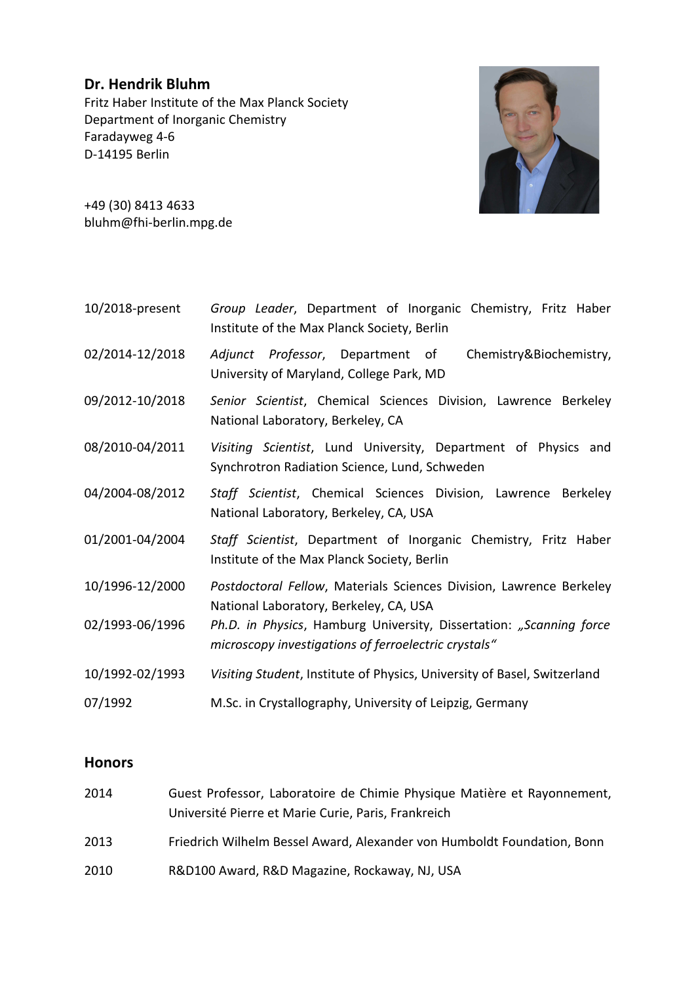## **Dr. Hendrik Bluhm** Fritz Haber Institute of the Max Planck Society Department of Inorganic Chemistry Faradayweg 4-6 D-14195 Berlin



+49 (30) 8413 4633 bluhm@fhi-berlin.mpg.de

- 10/2018-present *Group Leader*, Department of Inorganic Chemistry, Fritz Haber Institute of the Max Planck Society, Berlin
- 02/2014-12/2018 *Adjunct Professor*, Department of Chemistry&Biochemistry, University of Maryland, College Park, MD
- 09/2012-10/2018 *Senior Scientist*, Chemical Sciences Division, Lawrence Berkeley National Laboratory, Berkeley, CA
- 08/2010-04/2011 *Visiting Scientist*, Lund University, Department of Physics and Synchrotron Radiation Science, Lund, Schweden
- 04/2004-08/2012 *Staff Scientist*, Chemical Sciences Division, Lawrence Berkeley National Laboratory, Berkeley, CA, USA
- 01/2001-04/2004 *Staff Scientist*, Department of Inorganic Chemistry, Fritz Haber Institute of the Max Planck Society, Berlin
- 10/1996-12/2000 *Postdoctoral Fellow*, Materials Sciences Division, Lawrence Berkeley National Laboratory, Berkeley, CA, USA
- 02/1993-06/1996 *Ph.D. in Physics*, Hamburg University, Dissertation: *"Scanning force microscopy investigations of ferroelectric crystals"*
- 10/1992-02/1993 *Visiting Student*, Institute of Physics, University of Basel, Switzerland
- 07/1992 M.Sc. in Crystallography, University of Leipzig, Germany

## **Honors**

 Guest Professor, Laboratoire de Chimie Physique Matière et Rayonnement, Université Pierre et Marie Curie, Paris, Frankreich Friedrich Wilhelm Bessel Award, Alexander von Humboldt Foundation, Bonn R&D100 Award, R&D Magazine, Rockaway, NJ, USA